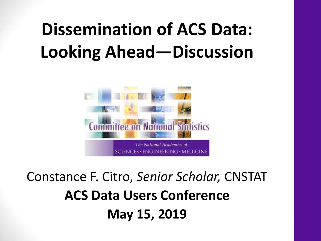## **Dissemination of ACS Data: Looking Ahead—Discussion**



#### Constance F. Citro, *Senior Scholar,* CNSTAT **ACS Data Users Conference May 15, 2019**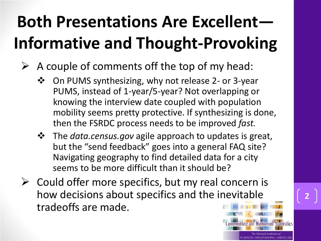## **Both Presentations Are Excellent— Informative and Thought-Provoking**

- $\triangleright$  A couple of comments off the top of my head:
	- On PUMS synthesizing, why not release 2- or 3-year PUMS, instead of 1-year/5-year? Not overlapping or knowing the interview date coupled with population mobility seems pretty protective. If synthesizing is done, then the FSRDC process needs to be improved *fast.*
	- The *data.census.gov* agile approach to updates is great, but the "send feedback" goes into a general FAQ site? Navigating geography to find detailed data for a city seems to be more difficult than it should be?
- $\triangleright$  Could offer more specifics, but my real concern is how decisions about specifics and the inevitable tradeoffs are made.

The National Academies o CIENCES · ENGINEERING · MEDICIN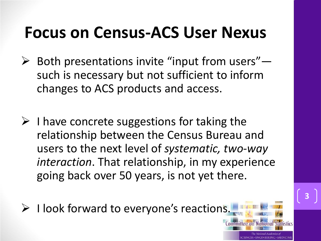#### **Focus on Census-ACS User Nexus**

- $\triangleright$  Both presentations invite "input from users" such is necessary but not sufficient to inform changes to ACS products and access.
- $\triangleright$  I have concrete suggestions for taking the relationship between the Census Bureau and users to the next level of *systematic, two-way interaction*. That relationship, in my experience going back over 50 years, is not yet there.
- $\triangleright$  I look forward to everyone's reactions.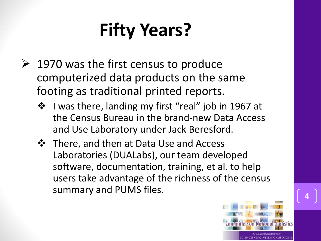# **Fifty Years?**

- $\triangleright$  1970 was the first census to produce computerized data products on the same footing as traditional printed reports.
	- ❖ I was there, landing my first "real" job in 1967 at the Census Bureau in the brand-new Data Access and Use Laboratory under Jack Beresford.
	- ❖ There, and then at Data Use and Access Laboratories (DUALabs), our team developed software, documentation, training, et al. to help users take advantage of the richness of the census summary and PUMS files.

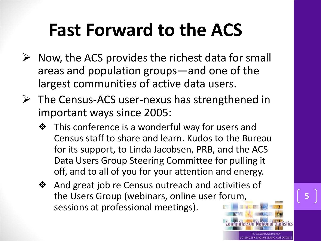### **Fast Forward to the ACS**

- $\triangleright$  Now, the ACS provides the richest data for small areas and population groups—and one of the largest communities of active data users.
- $\triangleright$  The Census-ACS user-nexus has strengthened in important ways since 2005:
	- **❖** This conference is a wonderful way for users and Census staff to share and learn. Kudos to the Bureau for its support, to Linda Jacobsen, PRB, and the ACS Data Users Group Steering Committee for pulling it off, and to all of you for your attention and energy.
	- And great job re Census outreach and activities of the Users Group (webinars, online user forum, sessions at professional meetings).

The National Academies ( liences · Engineering · Medicin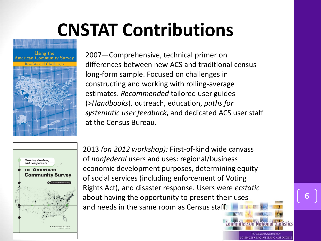### **CNSTAT Contributions**



2007—Comprehensive, technical primer on differences between new ACS and traditional census long-form sample. Focused on challenges in constructing and working with rolling-average estimates. *Recommended* tailored user guides (>*Handbooks*), outreach, education, *paths for systematic user feedback*, and dedicated ACS user staff at the Census Bureau.



2013 *(on 2012 workshop):* First-of-kind wide canvass of *nonfederal* users and uses: regional/business economic development purposes, determining equity of social services (including enforcement of Voting Rights Act), and disaster response. Users were *ecstatic*  about having the opportunity to present their uses and needs in the same room as Census staff.

**6**

The National Academies o CIENCES · ENGINEERING · MEDICIN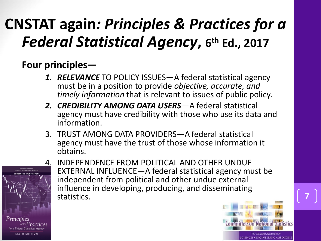#### **CNSTAT again***: Principles & Practices for a Federal Statistical Agency,* 6<sup>th</sup> Ed., 2017

#### **Four principles—**

- *1. RELEVANCE* TO POLICY ISSUES—A federal statistical agency must be in a position to provide *objective, accurate, and timely information* that is relevant to issues of public policy.
- *2. CREDIBILITY AMONG DATA USERS*—A federal statistical agency must have credibility with those who use its data and information.
- 3. TRUST AMONG DATA PROVIDERS—A federal statistical agency must have the trust of those whose information it obtains.



4. INDEPENDENCE FROM POLITICAL AND OTHER UNDUE EXTERNAL INFLUENCE—A federal statistical agency must be independent from political and other undue external influence in developing, producing, and disseminating statistics.

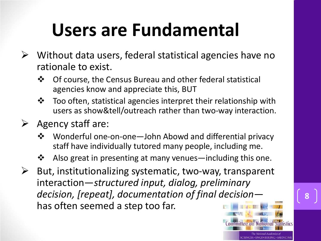## **Users are Fundamental**

- $\triangleright$  Without data users, federal statistical agencies have no rationale to exist.
	- ◆ Of course, the Census Bureau and other federal statistical agencies know and appreciate this, BUT
	- $\dots$  Too often, statistical agencies interpret their relationship with users as show&tell/outreach rather than two-way interaction.
- $\triangleright$  Agency staff are:
	- Wonderful one-on-one—John Abowd and differential privacy staff have individually tutored many people, including me.
	- $\clubsuit$  Also great in presenting at many venues—including this one.
- $\triangleright$  But, institutionalizing systematic, two-way, transparent interaction—*structured input, dialog, preliminary decision, [repeat], documentation of final decision* has often seemed a step too far.

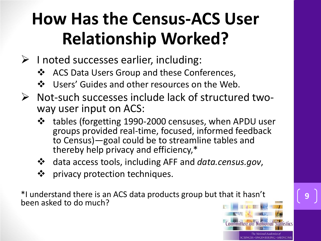### **How Has the Census-ACS User Relationship Worked?**

- $\triangleright$  I noted successes earlier, including:
	- ❖ ACS Data Users Group and these Conferences,
	- ❖ Users' Guides and other resources on the Web.
- Not-such successes include lack of structured two- way user input on ACS:
	- tables (forgetting 1990-2000 censuses, when APDU user groups provided real-time, focused, informed feedback to Census)—goal could be to streamline tables and thereby help privacy and efficiency,\*
	- data access tools, including AFF and *data.census.gov*,
	- ❖ privacy protection techniques.

\*I understand there is an ACS data products group but that it hasn't been asked to do much?

**The National Academies** IENCES · ENGINEERING · MEDICIN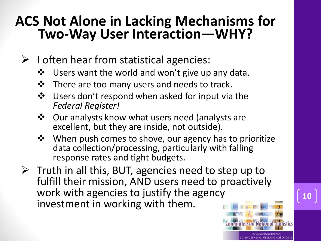#### **ACS Not Alone in Lacking Mechanisms for Two-Way User Interaction—WHY?**

- $\triangleright$  I often hear from statistical agencies:
	- Users want the world and won't give up any data.
	- $\clubsuit$  There are too many users and needs to track.
	- ❖ Users don't respond when asked for input via the *Federal Register!*
	- Our analysts know what users need (analysts are excellent, but they are inside, not outside).
	- $\dots$  **When push comes to shove, our agency has to prioritize** data collection/processing, particularly with falling response rates and tight budgets.
- $\triangleright$  Truth in all this, BUT, agencies need to step up to fulfill their mission, AND users need to proactively work with agencies to justify the agency investment in working with them.

**10**

The National Academies of CIENCES · ENGINEERING · MEDICIN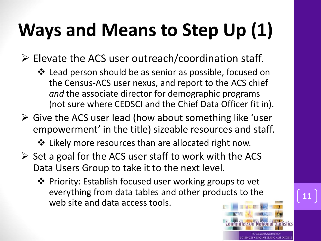# **Ways and Means to Step Up (1)**

 $\triangleright$  Elevate the ACS user outreach/coordination staff.

- Lead person should be as senior as possible, focused on the Census-ACS user nexus, and report to the ACS chief *and* the associate director for demographic programs (not sure where CEDSCI and the Chief Data Officer fit in).
- Give the ACS user lead (how about something like 'user empowerment' in the title) sizeable resources and staff.

Likely more resources than are allocated right now.

- $\triangleright$  Set a goal for the ACS user staff to work with the ACS Data Users Group to take it to the next level.
	- ❖ Priority: Establish focused user working groups to vet everything from data tables and other products to the web site and data access tools.

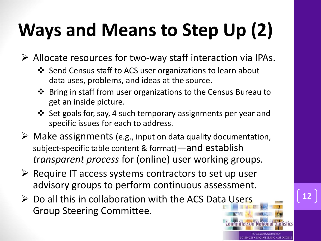# **Ways and Means to Step Up (2)**

 $\triangleright$  Allocate resources for two-way staff interaction via IPAs.

- Send Census staff to ACS user organizations to learn about data uses, problems, and ideas at the source.
- Bring in staff from user organizations to the Census Bureau to get an inside picture.
- Set goals for, say, 4 such temporary assignments per year and specific issues for each to address.
- $\triangleright$  Make assignments (e.g., input on data quality documentation, subject-specific table content & format)—and establish *transparent process* for (online) user working groups.
- $\triangleright$  Require IT access systems contractors to set up user advisory groups to perform continuous assessment.
- $\triangleright$  Do all this in collaboration with the ACS Data Users Group Steering Committee.

**The National Academies** LIENCES · ENGINEERING · MEDICIN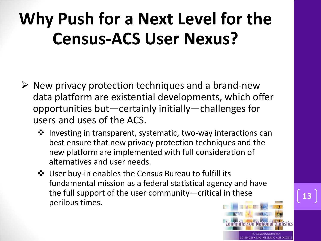### **Why Push for a Next Level for the Census-ACS User Nexus?**

- $\triangleright$  New privacy protection techniques and a brand-new data platform are existential developments, which offer opportunities but—certainly initially—challenges for users and uses of the ACS.
	- ❖ Investing in transparent, systematic, two-way interactions can best ensure that new privacy protection techniques and the new platform are implemented with full consideration of alternatives and user needs.
	- User buy-in enables the Census Bureau to fulfill its fundamental mission as a federal statistical agency and have the full support of the user community—critical in these perilous times.

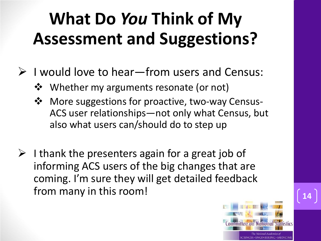## **What Do** *You* **Think of My Assessment and Suggestions?**

- I would love to hear—from users and Census:
	- ❖ Whether my arguments resonate (or not)
	- ❖ More suggestions for proactive, two-way Census-ACS user relationships—not only what Census, but also what users can/should do to step up
- $\triangleright$  I thank the presenters again for a great job of informing ACS users of the big changes that are coming. I'm sure they will get detailed feedback from many in this room!